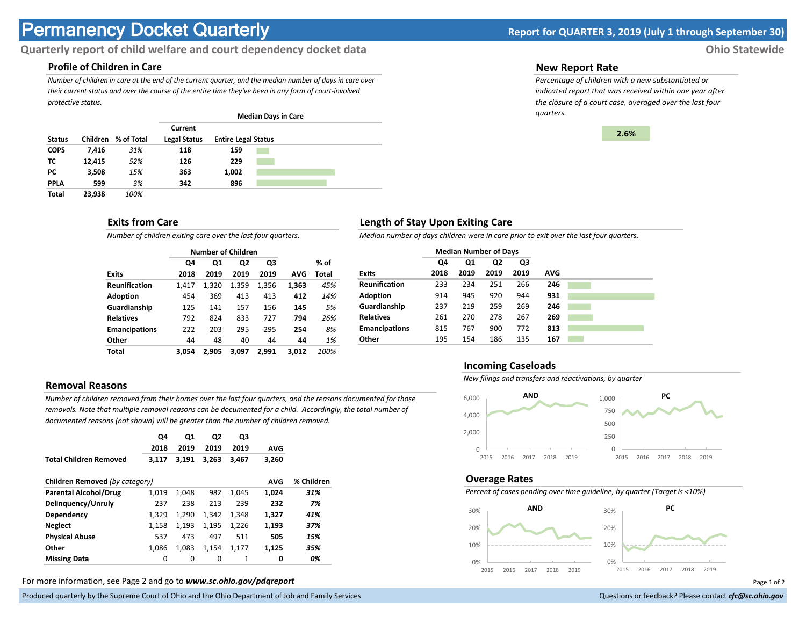# **Permanency Docket Quarterly Report for QUARTER 3, 2019 (July 1 through September 30)**

# **Quarterly report of child welfare and court dependency docket data Ohio Statewide**

# **Profile of Children in Care**

*Number of children in care at the end of the current quarter, and the median number of days in care over their current status and over the course of the entire time they've been in any form of court-involved protective status.*

|               |          |            |                                |                            | <b>Median Days in Care</b> |  |
|---------------|----------|------------|--------------------------------|----------------------------|----------------------------|--|
| <b>Status</b> | Children | % of Total | Current<br><b>Legal Status</b> | <b>Entire Legal Status</b> |                            |  |
| <b>COPS</b>   | 7,416    | 31%        | 118                            | 159                        |                            |  |
| тс            | 12.415   | 52%        | 126                            | 229                        |                            |  |
| <b>PC</b>     | 3,508    | 15%        | 363                            | 1,002                      |                            |  |
| <b>PPLA</b>   | 599      | 3%         | 342                            | 896                        |                            |  |
| <b>Total</b>  | 23.938   | 100%       |                                |                            |                            |  |

## **Exits from Care**

*Number of children exiting care over the last four quarters.*

|                      |       | <b>Number of Children</b> |                |       |       |       |
|----------------------|-------|---------------------------|----------------|-------|-------|-------|
|                      | Q4    | Q1                        | Q <sub>2</sub> | Q3    |       | % of  |
| <b>Exits</b>         | 2018  | 2019                      | 2019           | 2019  | AVG   | Total |
| <b>Reunification</b> | 1,417 | 1,320                     | 1,359          | 1,356 | 1,363 | 45%   |
| <b>Adoption</b>      | 454   | 369                       | 413            | 413   | 412   | 14%   |
| Guardianship         | 125   | 141                       | 157            | 156   | 145   | 5%    |
| <b>Relatives</b>     | 792   | 824                       | 833            | 727   | 794   | 26%   |
| <b>Emancipations</b> | 222   | 203                       | 295            | 295   | 254   | 8%    |
| Other                | 44    | 48                        | 40             | 44    | 44    | 1%    |
| Total                | 3.054 | 2.905                     | 3.097          | 2.991 | 3.012 | 100%  |

# **Removal Reasons**

*Number of children removed from their homes over the last four quarters, and the reasons documented for those removals. Note that multiple removal reasons can be documented for a child. Accordingly, the total number of documented reasons (not shown) will be greater than the number of children removed.* 

|                                | Q4<br>2018 | Q <sub>1</sub><br>2019 | Q <sub>2</sub><br>2019 | Q3<br>2019 | <b>AVG</b> |            |
|--------------------------------|------------|------------------------|------------------------|------------|------------|------------|
| <b>Total Children Removed</b>  | 3.117      | 3.191                  | 3.263                  | 3.467      | 3,260      |            |
| Children Removed (by category) |            |                        |                        |            | <b>AVG</b> | % Children |
| <b>Parental Alcohol/Drug</b>   | 1,019      | 1.048                  | 982                    | 1.045      | 1,024      | 31%        |
| Delinguency/Unruly             | 237        | 238                    | 213                    | 239        | 232        | 7%         |
| Dependency                     | 1.329      | 1,290                  | 1.342                  | 1.348      | 1,327      | 41%        |
| <b>Neglect</b>                 | 1,158      | 1,193                  | 1,195                  | 1,226      | 1,193      | 37%        |
| <b>Physical Abuse</b>          | 537        | 473                    | 497                    | 511        | 505        | 15%        |
| Other                          | 1.086      | 1.083                  | 1,154                  | 1,177      | 1,125      | 35%        |
| <b>Missing Data</b>            | 0          | 0                      | 0                      | 1          | 0          | 0%         |

For more information, see Page 2 and go to *www.sc.ohio.gov/pdqreport* Page 1 of 2

Produced quarterly by the Supreme Court of Ohio and the Ohio Department of Job and Family Services **Department of Court Court of Court of Court of Top and Family Services** and the Ohio and the Ohio Department of Job and Fa

#### **New Report Rate**

*Percentage of children with a new substantiated or indicated report that was received within one year after the closure of a court case, averaged over the last four quarters.*



## **Length of Stay Upon Exiting Care**

*Median number of days children were in care prior to exit over the last four quarters.*

|                      | <b>Median Number of Days</b> |      |      |      |            |
|----------------------|------------------------------|------|------|------|------------|
|                      | Q4                           | Q1   | Q2   | Q3   |            |
| <b>Exits</b>         | 2018                         | 2019 | 2019 | 2019 | <b>AVG</b> |
| <b>Reunification</b> | 233                          | 234  | 251  | 266  | 246        |
| <b>Adoption</b>      | 914                          | 945  | 920  | 944  | 931        |
| Guardianship         | 237                          | 219  | 259  | 269  | 246        |
| <b>Relatives</b>     | 261                          | 270  | 278  | 267  | 269        |
| <b>Emancipations</b> | 815                          | 767  | 900  | 772  | 813        |
| Other                | 195                          | 154  | 186  | 135  | 167        |

#### **Incoming Caseloads**

*New filings and transfers and reactivations, by quarter*



#### **Overage Rates**

*Percent of cases pending over time guideline, by quarter (Target is <10%)*